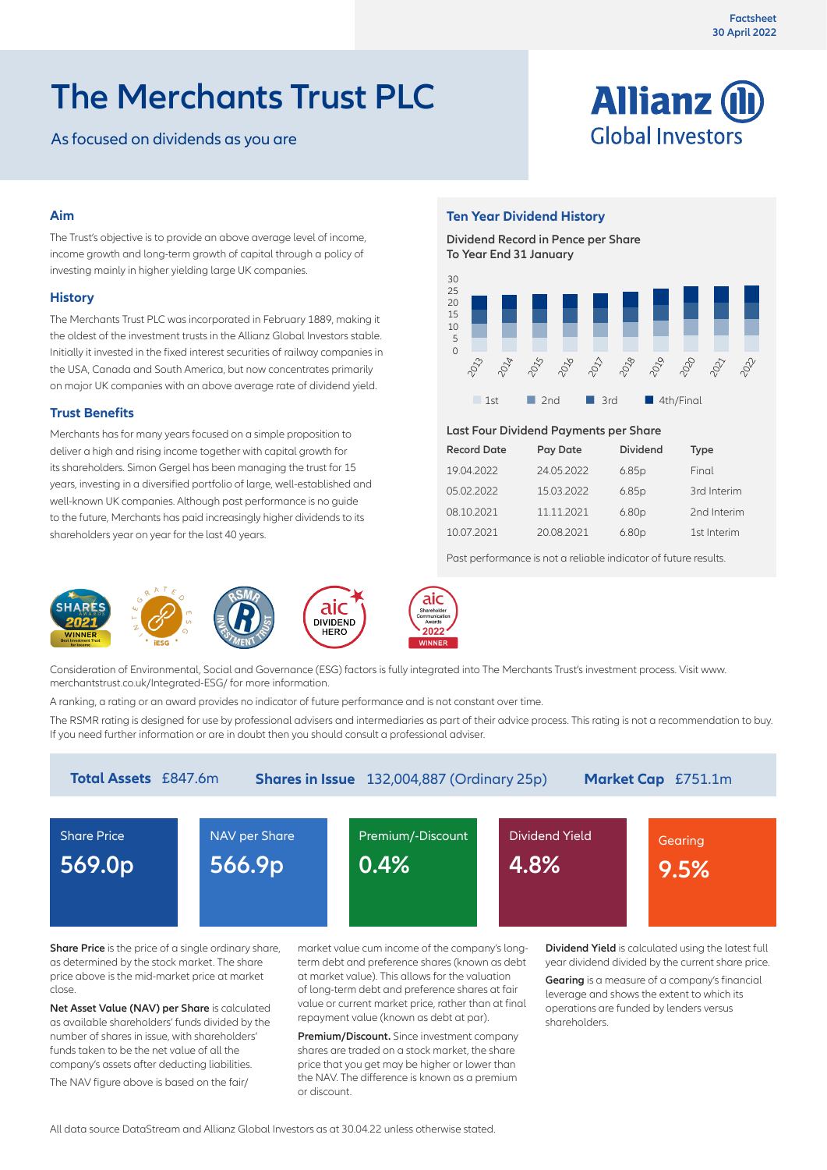# **The Merchants Trust PLC**

As focused on dividends as you are



# **Aim**

The Trust's objective is to provide an above average level of income, income growth and long-term growth of capital through a policy of investing mainly in higher yielding large UK companies.

## **History**

The Merchants Trust PLC was incorporated in February 1889, making it the oldest of the investment trusts in the Allianz Global Investors stable. Initially it invested in the fixed interest securities of railway companies in the USA, Canada and South America, but now concentrates primarily on major UK companies with an above average rate of dividend yield.

# **Trust Benefits**

Merchants has for many years focused on a simple proposition to deliver a high and rising income together with capital growth for its shareholders. Simon Gergel has been managing the trust for 15 years, investing in a diversified portfolio of large, well-established and well-known UK companies. Although past performance is no guide to the future, Merchants has paid increasingly higher dividends to its shareholders year on year for the last 40 years.



#### Consideration of Environmental, Social and Governance (ESG) factors is fully integrated into The Merchants Trust's investment process. Visit www. merchantstrust.co.uk/Integrated-ESG/ for more information.

A ranking, a rating or an award provides no indicator of future performance and is not constant over time.

The RSMR rating is designed for use by professional advisers and intermediaries as part of their advice process. This rating is not a recommendation to buy. If you need further information or are in doubt then you should consult a professional adviser.

| <b>Total Assets</b> £847.6m<br><b>Shares in Issue</b> 132,004,887 (Ordinary 25p)<br>Market Cap £751.1m |                         |                           |                         |                 |  |  |
|--------------------------------------------------------------------------------------------------------|-------------------------|---------------------------|-------------------------|-----------------|--|--|
| <b>Share Price</b><br>569.0p                                                                           | NAV per Share<br>566.9p | Premium/-Discount<br>0.4% | Dividend Yield'<br>4.8% | Gearing<br>9.5% |  |  |
|                                                                                                        |                         |                           |                         |                 |  |  |

**Share Price** is the price of a single ordinary share, as determined by the stock market. The share price above is the mid-market price at market close.

**Net Asset Value (NAV) per Share** is calculated as available shareholders' funds divided by the number of shares in issue, with shareholders' funds taken to be the net value of all the company's assets after deducting liabilities.

The NAV figure above is based on the fair/

market value cum income of the company's longterm debt and preference shares (known as debt at market value). This allows for the valuation of long-term debt and preference shares at fair value or current market price, rather than at final repayment value (known as debt at par).

**Premium/Discount.** Since investment company shares are traded on a stock market, the share price that you get may be higher or lower than the NAV. The difference is known as a premium or discount.

**Dividend Yield** is calculated using the latest full year dividend divided by the current share price.

**Gearing** is a measure of a company's financial leverage and shows the extent to which its operations are funded by lenders versus shareholders.

**Ten Year Dividend History**

**Dividend Record in Pence per Share To Year End 31 January**



#### **Last Four Dividend Payments per Share**

| <b>Record Date</b> | Pay Date   | <b>Dividend</b>   | <b>Type</b> |
|--------------------|------------|-------------------|-------------|
| 19.04.2022         | 24.05.2022 | 6.85p             | Final       |
| 05.02.2022         | 15.03.2022 | 6.85p             | 3rd Interim |
| 08.10.2021         | 11.11.2021 | 6.80 <sub>p</sub> | 2nd Interim |
| 10.07.2021         | 20.08.2021 | 6.80 <sub>p</sub> | 1st Interim |

Past performance is not a reliable indicator of future results.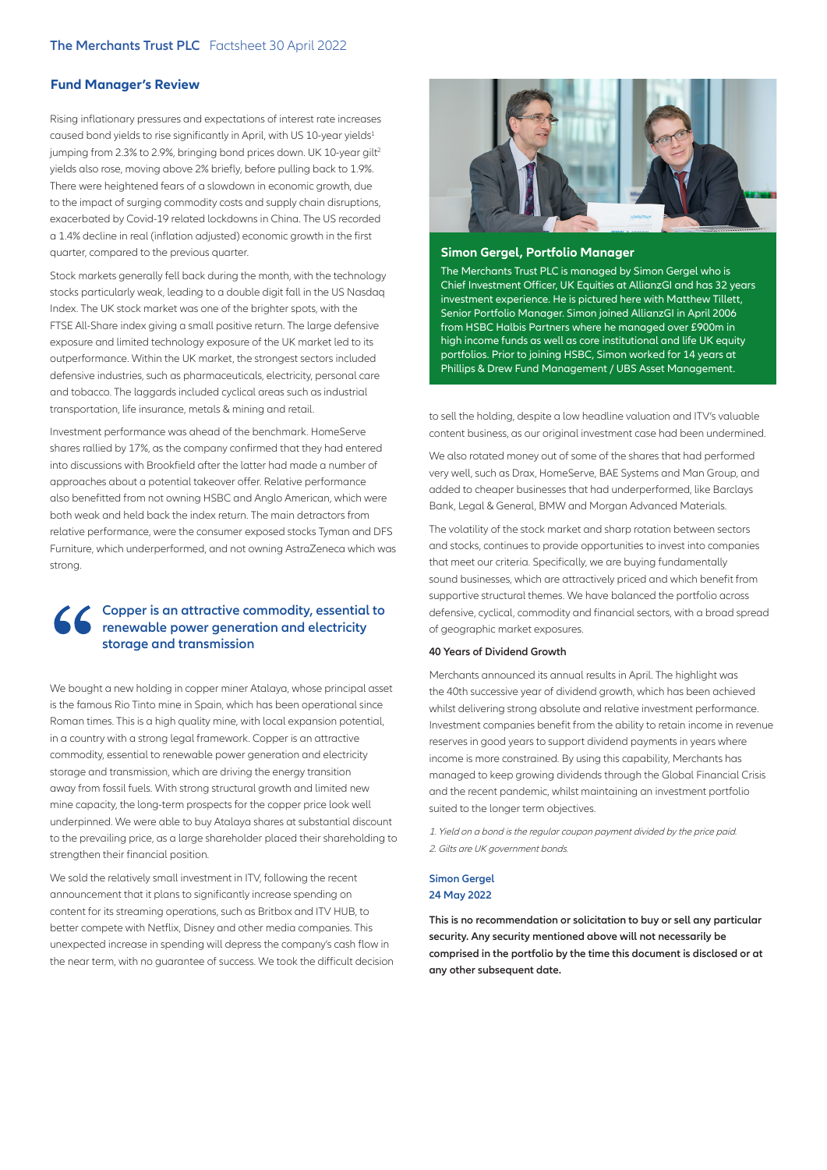## **Fund Manager's Review**

Rising inflationary pressures and expectations of interest rate increases caused bond yields to rise significantly in April, with US 10-year yields<sup>1</sup> jumping from 2.3% to 2.9%, bringing bond prices down. UK 10-year gilt<sup>2</sup> yields also rose, moving above 2% briefly, before pulling back to 1.9%. There were heightened fears of a slowdown in economic growth, due to the impact of surging commodity costs and supply chain disruptions, exacerbated by Covid-19 related lockdowns in China. The US recorded a 1.4% decline in real (inflation adjusted) economic growth in the first quarter, compared to the previous quarter.

Stock markets generally fell back during the month, with the technology stocks particularly weak, leading to a double digit fall in the US Nasdaq Index. The UK stock market was one of the brighter spots, with the FTSE All-Share index giving a small positive return. The large defensive exposure and limited technology exposure of the UK market led to its outperformance. Within the UK market, the strongest sectors included defensive industries, such as pharmaceuticals, electricity, personal care and tobacco. The laggards included cyclical areas such as industrial transportation, life insurance, metals & mining and retail.

Investment performance was ahead of the benchmark. HomeServe shares rallied by 17%, as the company confirmed that they had entered into discussions with Brookfield after the latter had made a number of approaches about a potential takeover offer. Relative performance also benefitted from not owning HSBC and Anglo American, which were both weak and held back the index return. The main detractors from relative performance, were the consumer exposed stocks Tyman and DFS Furniture, which underperformed, and not owning AstraZeneca which was strong.

# **Copper is an attractive commodity, essential to renewable power generation and electricity storage and transmission**

We bought a new holding in copper miner Atalaya, whose principal asset is the famous Rio Tinto mine in Spain, which has been operational since Roman times. This is a high quality mine, with local expansion potential, in a country with a strong legal framework. Copper is an attractive commodity, essential to renewable power generation and electricity storage and transmission, which are driving the energy transition away from fossil fuels. With strong structural growth and limited new mine capacity, the long-term prospects for the copper price look well underpinned. We were able to buy Atalaya shares at substantial discount to the prevailing price, as a large shareholder placed their shareholding to strengthen their financial position.

We sold the relatively small investment in ITV, following the recent announcement that it plans to significantly increase spending on content for its streaming operations, such as Britbox and ITV HUB, to better compete with Netflix, Disney and other media companies. This unexpected increase in spending will depress the company's cash flow in the near term, with no guarantee of success. We took the difficult decision



#### **Simon Gergel, Portfolio Manager**

The Merchants Trust PLC is managed by Simon Gergel who is Chief Investment Officer, UK Equities at AllianzGI and has 32 years investment experience. He is pictured here with Matthew Tillett, Senior Portfolio Manager. Simon joined AllianzGI in April 2006 from HSBC Halbis Partners where he managed over £900m in high income funds as well as core institutional and life UK equity portfolios. Prior to joining HSBC, Simon worked for 14 years at Phillips & Drew Fund Management / UBS Asset Management.

to sell the holding, despite a low headline valuation and ITV's valuable content business, as our original investment case had been undermined.

We also rotated money out of some of the shares that had performed very well, such as Drax, HomeServe, BAE Systems and Man Group, and added to cheaper businesses that had underperformed, like Barclays Bank, Legal & General, BMW and Morgan Advanced Materials.

The volatility of the stock market and sharp rotation between sectors and stocks, continues to provide opportunities to invest into companies that meet our criteria. Specifically, we are buying fundamentally sound businesses, which are attractively priced and which benefit from supportive structural themes. We have balanced the portfolio across defensive, cyclical, commodity and financial sectors, with a broad spread of geographic market exposures.

#### **40 Years of Dividend Growth**

Merchants announced its annual results in April. The highlight was the 40th successive year of dividend growth, which has been achieved whilst delivering strong absolute and relative investment performance. Investment companies benefit from the ability to retain income in revenue reserves in good years to support dividend payments in years where income is more constrained. By using this capability, Merchants has managed to keep growing dividends through the Global Financial Crisis and the recent pandemic, whilst maintaining an investment portfolio suited to the longer term objectives.

1. Yield on a bond is the regular coupon payment divided by the price paid. 2. Gilts are UK government bonds.

#### **Simon Gergel 24 May 2022**

**This is no recommendation or solicitation to buy or sell any particular security. Any security mentioned above will not necessarily be comprised in the portfolio by the time this document is disclosed or at any other subsequent date.**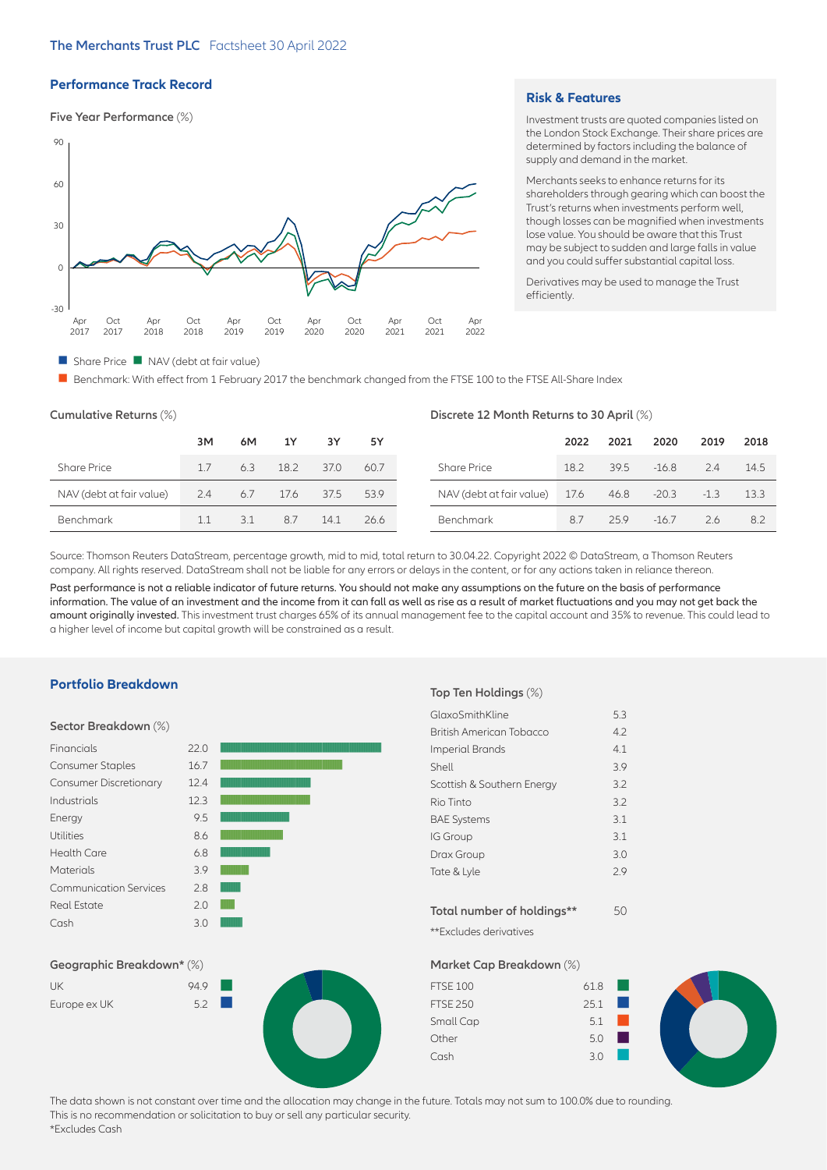# **Performance Track Record**

#### **Five Year Performance** (%)



#### **Risk & Features**

Investment trusts are quoted companies listed on the London Stock Exchange. Their share prices are determined by factors including the balance of supply and demand in the market.

Merchants seeks to enhance returns for its shareholders through gearing which can boost the Trust's returns when investments perform well, though losses can be magnified when investments lose value. You should be aware that this Trust may be subject to sudden and large falls in value and you could suffer substantial capital loss.

Derivatives may be used to manage the Trust efficiently.

#### $\blacksquare$  Share Price  $\blacksquare$  NAV (debt at fair value)

**n** Benchmark: With effect from 1 February 2017 the benchmark changed from the FTSE 100 to the FTSE All-Share Index

| Cumulative Returns (%)   |     |     |      | Discrete 12 Month Returns to 30 April (%) |      |                          |      |      |         |        |      |
|--------------------------|-----|-----|------|-------------------------------------------|------|--------------------------|------|------|---------|--------|------|
|                          | 3M  | 6M  | 1Y   | 3Y                                        | 5Υ   |                          | 2022 | 2021 | 2020    | 2019   | 2018 |
| <b>Share Price</b>       | 17  | 6.3 | 18.2 | 37.0                                      | 60.7 | <b>Share Price</b>       | 18.2 | 39.5 | $-16.8$ | 2.4    | 14.5 |
| NAV (debt at fair value) | 2.4 | 6.7 | 17.6 | 37.5                                      | 53.9 | NAV (debt at fair value) | 17.6 | 46.8 | $-20.3$ | $-1.3$ | 13.3 |
| Benchmark                | 1.1 | 3.1 | 8.7  | 14.1                                      | 26.6 | Benchmark                | 8.7  | 25.9 | $-16.7$ | 2.6    | 8.2  |

Source: Thomson Reuters DataStream, percentage growth, mid to mid, total return to 30.04.22. Copyright 2022 © DataStream, a Thomson Reuters company. All rights reserved. DataStream shall not be liable for any errors or delays in the content, or for any actions taken in reliance thereon.

Past performance is not a reliable indicator of future returns. You should not make any assumptions on the future on the basis of performance information. The value of an investment and the income from it can fall as well as rise as a result of market fluctuations and you may not get back the amount originally invested. This investment trust charges 65% of its annual management fee to the capital account and 35% to revenue. This could lead to a higher level of income but capital growth will be constrained as a result.

#### **Portfolio Breakdown**

#### **Sector Breakdown** (%)

| Financials                    | 22.0 |  |
|-------------------------------|------|--|
| <b>Consumer Staples</b>       | 16.7 |  |
| <b>Consumer Discretionary</b> | 12.4 |  |
| Industrials                   | 12.3 |  |
| Energy                        | 9.5  |  |
| <b>Utilities</b>              | 8.6  |  |
| Health Care                   | 6.8  |  |
| <b>Materials</b>              | 3.9  |  |
| Communication Services        | 28   |  |
| <b>Real Estate</b>            | 2.0  |  |
| Cash                          | 3.0  |  |

#### **Top Ten Holdings** (%)

| GlaxoSmithKline                 | 5.3 |
|---------------------------------|-----|
| <b>British American Tobacco</b> | 4.2 |
| <b>Imperial Brands</b>          | 4.1 |
| Shell                           | 3.9 |
| Scottish & Southern Energy      | 3.2 |
| Rio Tinto                       | 3.2 |
| <b>BAE Systems</b>              | 3.1 |
| <b>IG Group</b>                 | 3.1 |
| Drax Group                      | 3.0 |
| Tate & Lyle                     | 29  |
|                                 |     |
| Total number of holdings**      | 50  |

\*\*Excludes derivatives



| UK           | 94.9                    |  |
|--------------|-------------------------|--|
| Europe ex UK | $52 \quad \blacksquare$ |  |



**Market Cap Breakdown** (%)

| <b>FTSE 100</b> | 61.8 | <b>CONTRACTOR</b>      |  |
|-----------------|------|------------------------|--|
| <b>FTSE 250</b> | 25.1 |                        |  |
| Small Cap       | 5.1  |                        |  |
| Other           | 5.0  | <b>Service Service</b> |  |
| Cash            | 30   |                        |  |

The data shown is not constant over time and the allocation may change in the future. Totals may not sum to 100.0% due to rounding. This is no recommendation or solicitation to buy or sell any particular security. \*Excludes Cash